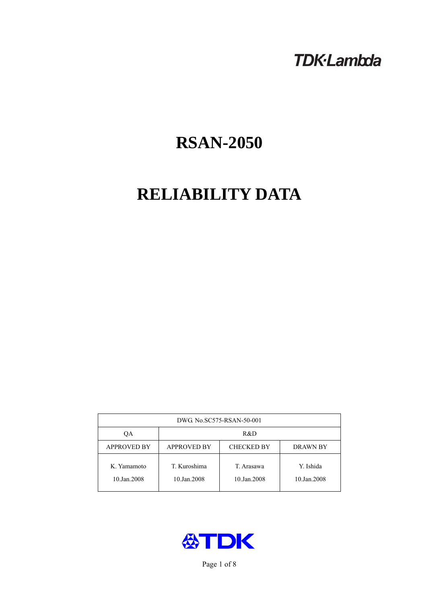# **TDK-Lambda**

# **RSAN-2050**

# **RELIABILITY DATA**

| DWG No.SC575-RSAN-50-001   |                                                            |                           |                          |  |  |
|----------------------------|------------------------------------------------------------|---------------------------|--------------------------|--|--|
| ОA                         | R&D                                                        |                           |                          |  |  |
| <b>APPROVED BY</b>         | <b>APPROVED BY</b><br><b>CHECKED BY</b><br><b>DRAWN BY</b> |                           |                          |  |  |
| K. Yamamoto<br>10.Jan.2008 | T. Kuroshima<br>10.Jan.2008                                | T. Arasawa<br>10.Jan.2008 | Y. Ishida<br>10.Jan.2008 |  |  |



Page 1 of 8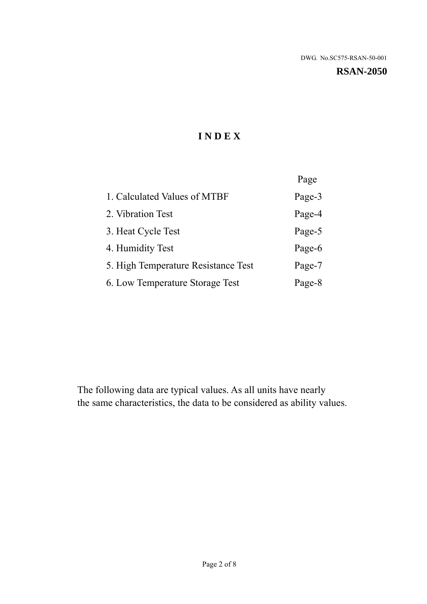**RSAN-2050** 

# **I N D E X**

|                                     | Page   |
|-------------------------------------|--------|
| 1. Calculated Values of MTBF        | Page-3 |
| 2. Vibration Test                   | Page-4 |
| 3. Heat Cycle Test                  | Page-5 |
| 4. Humidity Test                    | Page-6 |
| 5. High Temperature Resistance Test | Page-7 |
| 6. Low Temperature Storage Test     | Page-8 |

The following data are typical values. As all units have nearly the same characteristics, the data to be considered as ability values.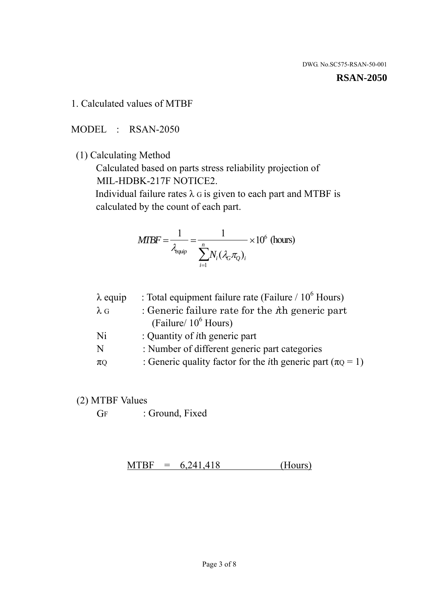#### **RSAN-2050**

1. Calculated values of MTBF

MODEL : RSAN-2050

(1) Calculating Method

 Calculated based on parts stress reliability projection of MIL-HDBK-217F NOTICE2.

Individual failure rates  $\lambda$  G is given to each part and MTBF is calculated by the count of each part.

$$
MTBF = \frac{1}{\lambda_{\text{equip}}} = \frac{1}{\sum_{i=1}^{n} N_i (\lambda_G \pi_Q)_i} \times 10^6 \text{ (hours)}
$$

| $\lambda$ equip | : Total equipment failure rate (Failure / $10^6$ Hours)                   |
|-----------------|---------------------------------------------------------------------------|
| $\lambda$ G     | : Generic failure rate for the $\hbar$ generic part                       |
|                 | (Failure/ $10^6$ Hours)                                                   |
| Ni              | : Quantity of <i>i</i> th generic part                                    |
| N               | : Number of different generic part categories                             |
| $\pi Q$         | : Generic quality factor for the <i>i</i> th generic part ( $\pi Q = 1$ ) |
|                 |                                                                           |

- (2) MTBF Values
	- GF : Ground, Fixed

 $MTBF = 6,241,418$  (Hours)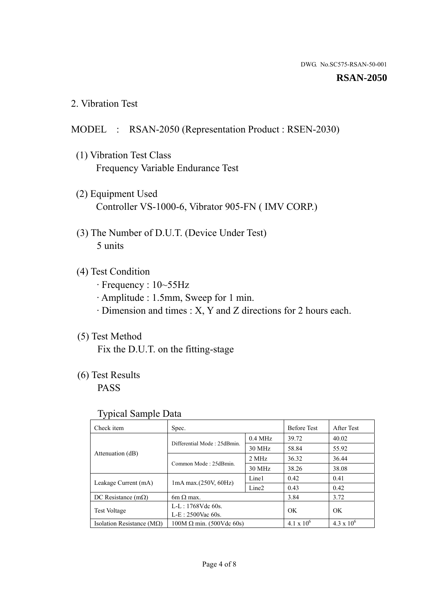#### **RSAN-2050**

2. Vibration Test

## MODEL : RSAN-2050 (Representation Product : RSEN-2030)

- (1) Vibration Test Class Frequency Variable Endurance Test
- (2) Equipment Used Controller VS-1000-6, Vibrator 905-FN ( IMV CORP.)
- (3) The Number of D.U.T. (Device Under Test) 5 units
- (4) Test Condition
	- · Frequency : 10~55Hz
	- · Amplitude : 1.5mm, Sweep for 1 min.
	- · Dimension and times : X, Y and Z directions for 2 hours each.

## (5) Test Method

Fix the D.U.T. on the fitting-stage

# (6) Test Results

PASS

#### Typical Sample Data

| ັ່                                 |                                                |           |                     |                     |
|------------------------------------|------------------------------------------------|-----------|---------------------|---------------------|
| Check item                         | Spec.                                          |           | <b>Before Test</b>  | After Test          |
|                                    | Differential Mode: 25dBmin.                    | $0.4$ MHz | 39.72               | 40.02               |
|                                    |                                                | 30 MHz    | 58.84               | 55.92               |
| Attenuation (dB)                   | Common Mode: 25dBmin.                          | 2 MHz     | 36.32               | 36.44               |
|                                    |                                                | 30 MHz    | 38.26               | 38.08               |
| Leakage Current (mA)               |                                                | Line1     | 0.42                | 0.41                |
|                                    | $1mA$ max. $(250V, 60Hz)$<br>Line <sub>2</sub> |           | 0.43                | 0.42                |
| DC Resistance $(m\Omega)$          | 6m $\Omega$ max.                               |           | 3.84                | 3.72                |
| <b>Test Voltage</b>                | $L-L: 1768Vdc$ 60s.                            |           | OK                  | OK.                 |
|                                    | $L-E: 2500$ Vac 60s.                           |           |                     |                     |
| Isolation Resistance ( $M\Omega$ ) | $100M \Omega$ min. (500Vdc 60s)                |           | $4.1 \times 10^{6}$ | $4.3 \times 10^{6}$ |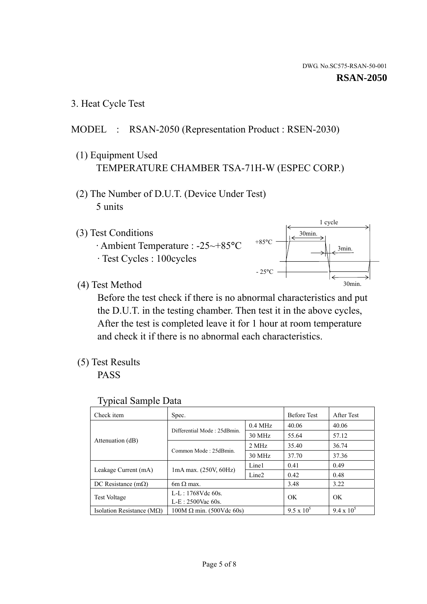3. Heat Cycle Test

### MODEL : RSAN-2050 (Representation Product : RSEN-2030)

- (1) Equipment Used TEMPERATURE CHAMBER TSA-71H-W (ESPEC CORP.)
- (2) The Number of D.U.T. (Device Under Test) 5 units
- (3) Test Conditions
	- · Ambient Temperature : -25~+85°C · Test Cycles : 100cycles



(4) Test Method

 Before the test check if there is no abnormal characteristics and put the D.U.T. in the testing chamber. Then test it in the above cycles, After the test is completed leave it for 1 hour at room temperature and check it if there is no abnormal each characteristics.

(5) Test Results

PASS

| <b>Typical Sample Data</b> |  |  |
|----------------------------|--|--|
|----------------------------|--|--|

| Check item                    | Spec.                                                                                                                                                         |           | <b>Before Test</b> | After Test        |
|-------------------------------|---------------------------------------------------------------------------------------------------------------------------------------------------------------|-----------|--------------------|-------------------|
|                               |                                                                                                                                                               | $0.4$ MHz | 40.06              | 40.06             |
|                               |                                                                                                                                                               | 30 MHz    | 55.64              | 57.12             |
| Attenuation (dB)              | Common Mode: 25dBmin.                                                                                                                                         | 2 MHz     | 35.40              | 36.74             |
|                               |                                                                                                                                                               | 30 MHz    | 37.70              | 37.36             |
|                               | Differential Mode: 25dBmin.<br>Line1<br>$1mA$ max. $(250V, 60Hz)$<br>Line <sub>2</sub><br>$6m \Omega$ max.<br>L-L: $1768V$ de $60s$ .<br>$L-E: 2500$ Vac 60s. |           | 0.41               | 0.49              |
| Leakage Current (mA)          |                                                                                                                                                               |           | 0.42               | 0.48              |
| DC Resistance $(m\Omega)$     |                                                                                                                                                               |           | 3.48               | 3.22              |
|                               |                                                                                                                                                               |           | OK                 | OK                |
| <b>Test Voltage</b>           |                                                                                                                                                               |           |                    |                   |
| Isolation Resistance ( $MQ$ ) | $100M \Omega$ min. (500Vdc 60s)                                                                                                                               |           | $9.5 \times 10^5$  | $9.4 \times 10^5$ |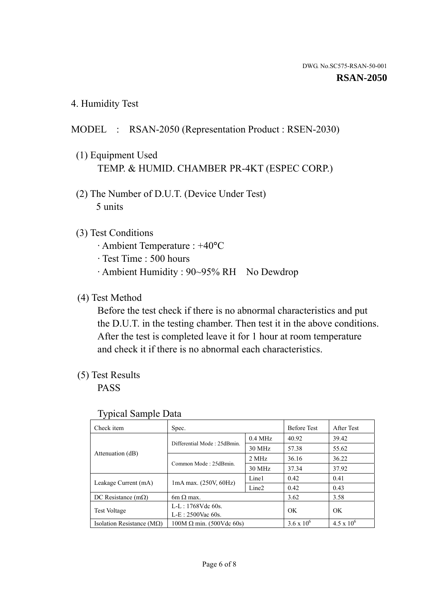4. Humidity Test

## MODEL : RSAN-2050 (Representation Product : RSEN-2030)

- (1) Equipment Used TEMP. & HUMID. CHAMBER PR-4KT (ESPEC CORP.)
- (2) The Number of D.U.T. (Device Under Test) 5 units

### (3) Test Conditions

- · Ambient Temperature : +40°C
- · Test Time : 500 hours
- · Ambient Humidity : 90~95% RH No Dewdrop

### (4) Test Method

 Before the test check if there is no abnormal characteristics and put the D.U.T. in the testing chamber. Then test it in the above conditions. After the test is completed leave it for 1 hour at room temperature and check it if there is no abnormal each characteristics.

### (5) Test Results

PASS

| . .                                |                                 |                   |                     |                     |
|------------------------------------|---------------------------------|-------------------|---------------------|---------------------|
| Check item                         | Spec.                           |                   | <b>Before Test</b>  | After Test          |
|                                    |                                 | $0.4$ MHz         | 40.92               | 39.42               |
|                                    | Differential Mode: 25dBmin.     | 30 MHz            | 57.38               | 55.62               |
| Attenuation (dB)                   | Common Mode: 25dBmin.           | 2 MHz             | 36.16               | 36.22               |
|                                    |                                 | 30 MHz            | 37.34               | 37.92               |
| Leakage Current (mA)               | $1mA$ max. $(250V, 60Hz)$       | Line1             | 0.42                | 0.41                |
|                                    |                                 | Line <sub>2</sub> | 0.42                | 0.43                |
| DC Resistance (m $\Omega$ )        | $6m \Omega$ max.                |                   | 3.62                | 3.58                |
| <b>Test Voltage</b>                | $L-L: 1768Vdc$ 60s.             |                   | OK                  | OK.                 |
|                                    | $L-E$ : 2500Vac 60s.            |                   |                     |                     |
| Isolation Resistance ( $M\Omega$ ) | $100M \Omega$ min. (500Vdc 60s) |                   | $3.6 \times 10^{6}$ | $4.5 \times 10^{6}$ |

#### Typical Sample Data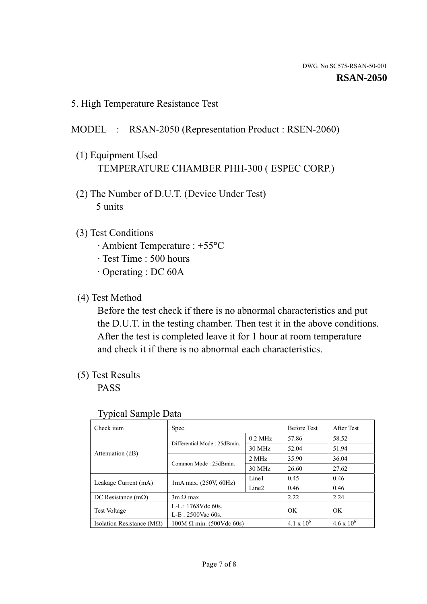5. High Temperature Resistance Test

#### MODEL : RSAN-2050 (Representation Product : RSEN-2060)

- (1) Equipment Used TEMPERATURE CHAMBER PHH-300 ( ESPEC CORP.)
- (2) The Number of D.U.T. (Device Under Test) 5 units
- (3) Test Conditions
	- · Ambient Temperature : +55°C
	- · Test Time : 500 hours
	- · Operating : DC 60A
- (4) Test Method

 Before the test check if there is no abnormal characteristics and put the D.U.T. in the testing chamber. Then test it in the above conditions. After the test is completed leave it for 1 hour at room temperature and check it if there is no abnormal each characteristics.

(5) Test Results

PASS

| ╯┸                                 |                                                         |           |                     |                     |
|------------------------------------|---------------------------------------------------------|-----------|---------------------|---------------------|
| Check item                         | Spec.                                                   |           | <b>Before Test</b>  | After Test          |
|                                    | Differential Mode: 25dBmin.                             | $0.2$ MHz | 57.86               | 58.52               |
|                                    |                                                         | 30 MHz    | 52.04               | 51.94               |
| Attenuation (dB)                   | Common Mode: 25dBmin.                                   | 2 MHz     | 35.90               | 36.04               |
|                                    |                                                         | 30 MHz    | 26.60               | 27.62               |
| Leakage Current (mA)               | Line1<br>$1mA$ max. $(250V, 60Hz)$<br>Line <sub>2</sub> |           | 0.45                | 0.46                |
|                                    |                                                         |           | 0.46                | 0.46                |
| DC Resistance $(m\Omega)$          | $3m \Omega$ max.                                        |           | 2.22                | 2.24                |
| <b>Test Voltage</b>                | $L-L: 1768Vdc$ 60s.                                     |           | OK                  | OK                  |
|                                    | $L-E: 2500$ Vac 60s.                                    |           |                     |                     |
| Isolation Resistance ( $M\Omega$ ) | $100M \Omega$ min. (500Vdc 60s)                         |           | $4.1 \times 10^{6}$ | $4.6 \times 10^{6}$ |

#### Typical Sample Data